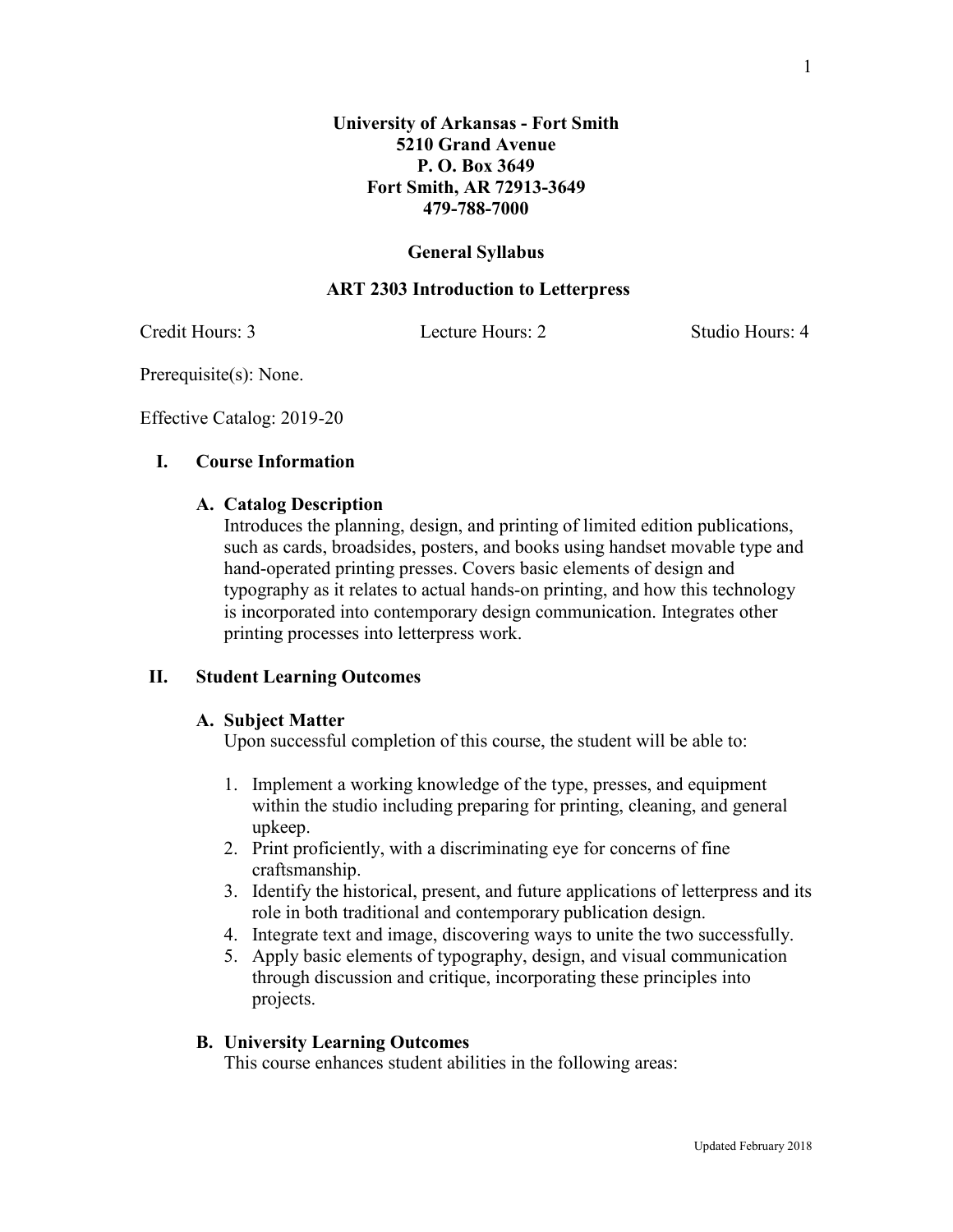1

# **University of Arkansas - Fort Smith 5210 Grand Avenue P. O. Box 3649 Fort Smith, AR 72913-3649 479-788-7000**

## **General Syllabus**

## **ART 2303 Introduction to Letterpress**

Credit Hours: 3 Lecture Hours: 2 Studio Hours: 4

Prerequisite(s): None.

Effective Catalog: 2019-20

## **I. Course Information**

## **A. Catalog Description**

Introduces the planning, design, and printing of limited edition publications, such as cards, broadsides, posters, and books using handset movable type and hand-operated printing presses. Covers basic elements of design and typography as it relates to actual hands-on printing, and how this technology is incorporated into contemporary design communication. Integrates other printing processes into letterpress work.

# **II. Student Learning Outcomes**

#### **A. Subject Matter**

Upon successful completion of this course, the student will be able to:

- 1. Implement a working knowledge of the type, presses, and equipment within the studio including preparing for printing, cleaning, and general upkeep.
- 2. Print proficiently, with a discriminating eye for concerns of fine craftsmanship.
- 3. Identify the historical, present, and future applications of letterpress and its role in both traditional and contemporary publication design.
- 4. Integrate text and image, discovering ways to unite the two successfully.
- 5. Apply basic elements of typography, design, and visual communication through discussion and critique, incorporating these principles into projects.

#### **B. University Learning Outcomes**

This course enhances student abilities in the following areas: